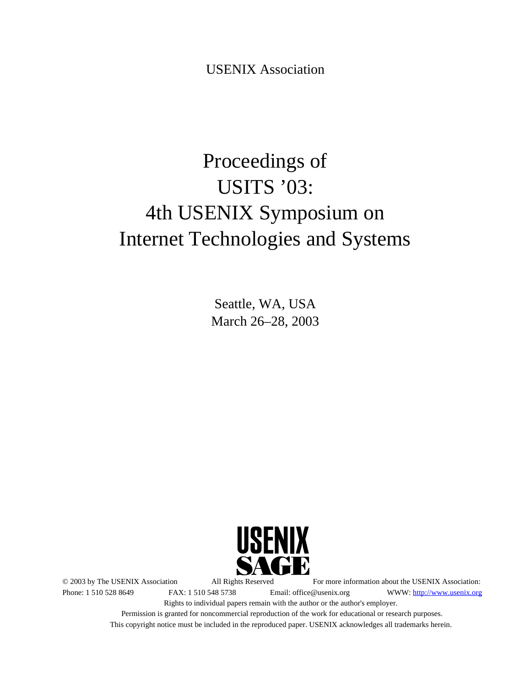USENIX Association

# Proceedings of USITS '03: 4th USENIX Symposium on Internet Technologies and Systems

Seattle, WA, USA March 26–28, 2003



© 2003 by The USENIX Association All Rights Reserved For more information about the USENIX Association: Phone: 1 510 528 8649 FAX: 1 510 548 5738 Email: office@usenix.org WWW: http://www.usenix.org Rights to individual papers remain with the author or the author's employer. Permission is granted for noncommercial reproduction of the work for educational or research purposes.

This copyright notice must be included in the reproduced paper. USENIX acknowledges all trademarks herein.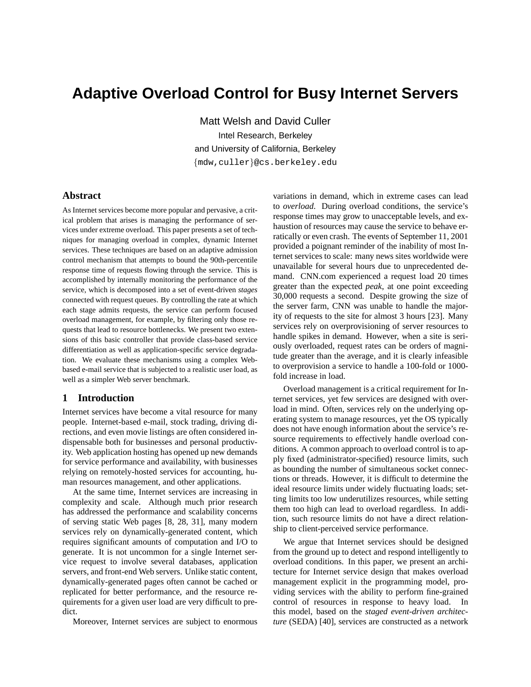# **Adaptive Overload Control for Busy Internet Servers**

Matt Welsh and David Culler Intel Research, Berkeley and University of California, Berkeley {mdw,culler}@cs.berkeley.edu

# **Abstract**

As Internet services become more popular and pervasive, a critical problem that arises is managing the performance of services under extreme overload. This paper presents a set of techniques for managing overload in complex, dynamic Internet services. These techniques are based on an adaptive admission control mechanism that attempts to bound the 90th-percentile response time of requests flowing through the service. This is accomplished by internally monitoring the performance of the service, which is decomposed into a set of event-driven *stages* connected with request queues. By controlling the rate at which each stage admits requests, the service can perform focused overload management, for example, by filtering only those requests that lead to resource bottlenecks. We present two extensions of this basic controller that provide class-based service differentiation as well as application-specific service degradation. We evaluate these mechanisms using a complex Webbased e-mail service that is subjected to a realistic user load, as well as a simpler Web server benchmark.

#### **1 Introduction**

Internet services have become a vital resource for many people. Internet-based e-mail, stock trading, driving directions, and even movie listings are often considered indispensable both for businesses and personal productivity. Web application hosting has opened up new demands for service performance and availability, with businesses relying on remotely-hosted services for accounting, human resources management, and other applications.

At the same time, Internet services are increasing in complexity and scale. Although much prior research has addressed the performance and scalability concerns of serving static Web pages [8, 28, 31], many modern services rely on dynamically-generated content, which requires significant amounts of computation and I/O to generate. It is not uncommon for a single Internet service request to involve several databases, application servers, and front-end Web servers. Unlike static content, dynamically-generated pages often cannot be cached or replicated for better performance, and the resource requirements for a given user load are very difficult to predict.

Moreover, Internet services are subject to enormous

variations in demand, which in extreme cases can lead to *overload*. During overload conditions, the service's response times may grow to unacceptable levels, and exhaustion of resources may cause the service to behave erratically or even crash. The events of September 11, 2001 provided a poignant reminder of the inability of most Internet services to scale: many news sites worldwide were unavailable for several hours due to unprecedented demand. CNN.com experienced a request load 20 times greater than the expected *peak*, at one point exceeding 30,000 requests a second. Despite growing the size of the server farm, CNN was unable to handle the majority of requests to the site for almost 3 hours [23]. Many services rely on overprovisioning of server resources to handle spikes in demand. However, when a site is seriously overloaded, request rates can be orders of magnitude greater than the average, and it is clearly infeasible to overprovision a service to handle a 100-fold or 1000 fold increase in load.

Overload management is a critical requirement for Internet services, yet few services are designed with overload in mind. Often, services rely on the underlying operating system to manage resources, yet the OS typically does not have enough information about the service's resource requirements to effectively handle overload conditions. A common approach to overload control is to apply fixed (administrator-specified) resource limits, such as bounding the number of simultaneous socket connections or threads. However, it is difficult to determine the ideal resource limits under widely fluctuating loads; setting limits too low underutilizes resources, while setting them too high can lead to overload regardless. In addition, such resource limits do not have a direct relationship to client-perceived service performance.

We argue that Internet services should be designed from the ground up to detect and respond intelligently to overload conditions. In this paper, we present an architecture for Internet service design that makes overload management explicit in the programming model, providing services with the ability to perform fine-grained control of resources in response to heavy load. In this model, based on the *staged event-driven architecture* (SEDA) [40], services are constructed as a network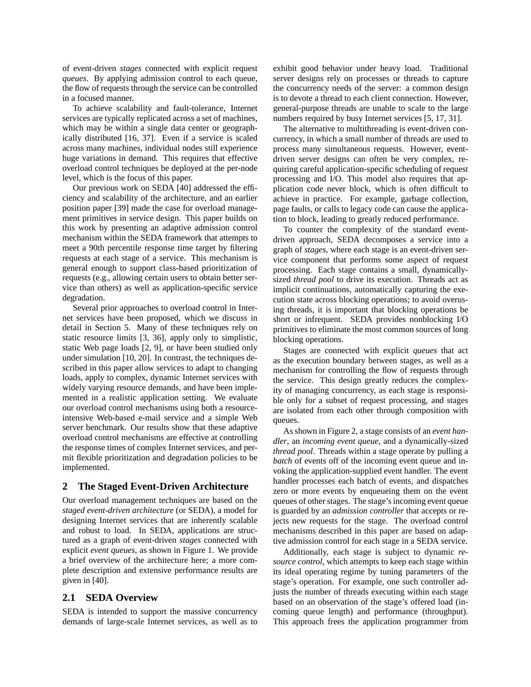of event-driven *stages* connected with explicit request *queues*. By applying admission control to each queue, the flow of requests through the service can be controlled in a focused manner.

To achieve scalability and fault-tolerance, Internet services are typically replicated across a set of machines, which may be within a single data center or geographically distributed [16, 37]. Even if a service is scaled across many machines, individual nodes still experience huge variations in demand. This requires that effective overload control techniques be deployed at the per-node level, which is the focus of this paper.

Our previous work on SEDA [40] addressed the efficiency and scalability of the architecture, and an earlier position paper [39] made the case for overload management primitives in service design. This paper builds on this work by presenting an adaptive admission control mechanism within the SEDA framework that attempts to meet a 90th percentile response time target by filtering requests at each stage of a service. This mechanism is general enough to support class-based prioritization of requests (e.g., allowing certain users to obtain better service than others) as well as application-specific service degradation.

Several prior approaches to overload control in Internet services have been proposed, which we discuss in detail in Section 5. Many of these techniques rely on static resource limits [3, 36], apply only to simplistic, static Web page loads [2, 9], or have been studied only under simulation [10, 20]. In contrast, the techniques described in this paper allow services to adapt to changing loads, apply to complex, dynamic Internet services with widely varying resource demands, and have been implemented in a realistic application setting. We evaluate our overload control mechanisms using both a resourceintensive Web-based e-mail service and a simple Web server benchmark. Our results show that these adaptive overload control mechanisms are effective at controlling the response times of complex Internet services, and permit flexible prioritization and degradation policies to be implemented.

# **2 The Staged Event-Driven Architecture**

Our overload management techniques are based on the *staged event-driven architecture* (or SEDA), a model for designing Internet services that are inherently scalable and robust to load. In SEDA, applications are structured as a graph of event-driven *stages* connected with explicit *event queues*, as shown in Figure 1. We provide a brief overview of the architecture here; a more complete description and extensive performance results are given in [40].

#### **2.1 SEDA Overview**

SEDA is intended to support the massive concurrency demands of large-scale Internet services, as well as to exhibit good behavior under heavy load. Traditional server designs rely on processes or threads to capture the concurrency needs of the server: a common design is to devote a thread to each client connection. However, general-purpose threads are unable to scale to the large numbers required by busy Internet services [5, 17, 31].

The alternative to multithreading is event-driven concurrency, in which a small number of threads are used to process many simultaneous requests. However, eventdriven server designs can often be very complex, requiring careful application-specific scheduling of request processing and I/O. This model also requires that application code never block, which is often difficult to achieve in practice. For example, garbage collection, page faults, or calls to legacy code can cause the application to block, leading to greatly reduced performance.

To counter the complexity of the standard eventdriven approach, SEDA decomposes a service into a graph of *stages*, where each stage is an event-driven service component that performs some aspect of request processing. Each stage contains a small, dynamicallysized *thread pool* to drive its execution. Threads act as implicit continuations, automatically capturing the execution state across blocking operations; to avoid overusing threads, it is important that blocking operations be short or infrequent. SEDA provides nonblocking I/O primitives to eliminate the most common sources of long blocking operations.

Stages are connected with explicit *queues* that act as the execution boundary between stages, as well as a mechanism for controlling the flow of requests through the service. This design greatly reduces the complexity of managing concurrency, as each stage is responsible only for a subset of request processing, and stages are isolated from each other through composition with queues.

As shown in Figure 2, a stage consists of an *event handler*, an *incoming event queue*, and a dynamically-sized *thread pool*. Threads within a stage operate by pulling a *batch* of events off of the incoming event queue and invoking the application-supplied event handler. The event handler processes each batch of events, and dispatches zero or more events by enqueueing them on the event queues of other stages. The stage's incoming event queue is guarded by an *admission controller* that accepts or rejects new requests for the stage. The overload control mechanisms described in this paper are based on adaptive admission control for each stage in a SEDA service.

Additionally, each stage is subject to dynamic *resource control*, which attempts to keep each stage within its ideal operating regime by tuning parameters of the stage's operation. For example, one such controller adjusts the number of threads executing within each stage based on an observation of the stage's offered load (incoming queue length) and performance (throughput). This approach frees the application programmer from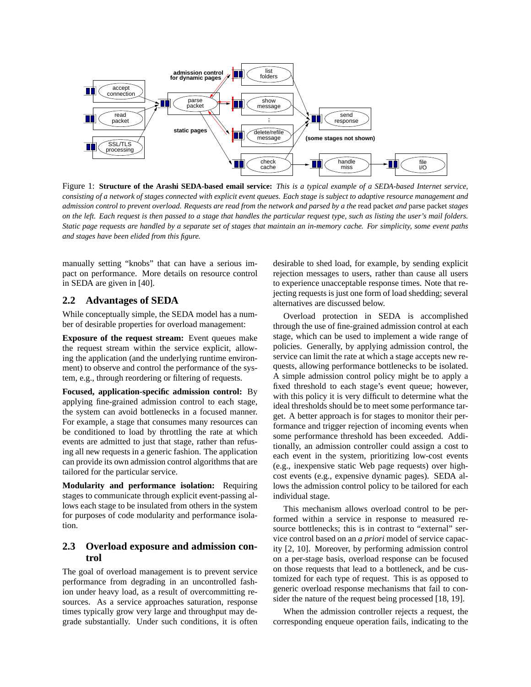

Figure 1: **Structure of the Arashi SEDA-based email service:** *This is a typical example of a SEDA-based Internet service, consisting of a network of stages connected with explicit event queues. Each stage is subject to adaptive resource management and admission control to prevent overload. Requests are read from the network and parsed by a the* read packet *and* parse packet *stages on the left. Each request is then passed to a stage that handles the particular request type, such as listing the user's mail folders. Static page requests are handled by a separate set of stages that maintain an in-memory cache. For simplicity, some event paths and stages have been elided from this figure.*

manually setting "knobs" that can have a serious impact on performance. More details on resource control in SEDA are given in [40].

# **2.2 Advantages of SEDA**

While conceptually simple, the SEDA model has a number of desirable properties for overload management:

**Exposure of the request stream:** Event queues make the request stream within the service explicit, allowing the application (and the underlying runtime environment) to observe and control the performance of the system, e.g., through reordering or filtering of requests.

**Focused, application-specific admission control:** By applying fine-grained admission control to each stage, the system can avoid bottlenecks in a focused manner. For example, a stage that consumes many resources can be conditioned to load by throttling the rate at which events are admitted to just that stage, rather than refusing all new requests in a generic fashion. The application can provide its own admission control algorithms that are tailored for the particular service.

**Modularity and performance isolation:** Requiring stages to communicate through explicit event-passing allows each stage to be insulated from others in the system for purposes of code modularity and performance isolation.

# **2.3 Overload exposure and admission control**

The goal of overload management is to prevent service performance from degrading in an uncontrolled fashion under heavy load, as a result of overcommitting resources. As a service approaches saturation, response times typically grow very large and throughput may degrade substantially. Under such conditions, it is often desirable to shed load, for example, by sending explicit rejection messages to users, rather than cause all users to experience unacceptable response times. Note that rejecting requests is just one form of load shedding; several alternatives are discussed below.

Overload protection in SEDA is accomplished through the use of fine-grained admission control at each stage, which can be used to implement a wide range of policies. Generally, by applying admission control, the service can limit the rate at which a stage accepts new requests, allowing performance bottlenecks to be isolated. A simple admission control policy might be to apply a fixed threshold to each stage's event queue; however, with this policy it is very difficult to determine what the ideal thresholds should be to meet some performance target. A better approach is for stages to monitor their performance and trigger rejection of incoming events when some performance threshold has been exceeded. Additionally, an admission controller could assign a cost to each event in the system, prioritizing low-cost events (e.g., inexpensive static Web page requests) over highcost events (e.g., expensive dynamic pages). SEDA allows the admission control policy to be tailored for each individual stage.

This mechanism allows overload control to be performed within a service in response to measured resource bottlenecks; this is in contrast to "external" service control based on an *a priori* model of service capacity [2, 10]. Moreover, by performing admission control on a per-stage basis, overload response can be focused on those requests that lead to a bottleneck, and be customized for each type of request. This is as opposed to generic overload response mechanisms that fail to consider the nature of the request being processed [18, 19].

When the admission controller rejects a request, the corresponding enqueue operation fails, indicating to the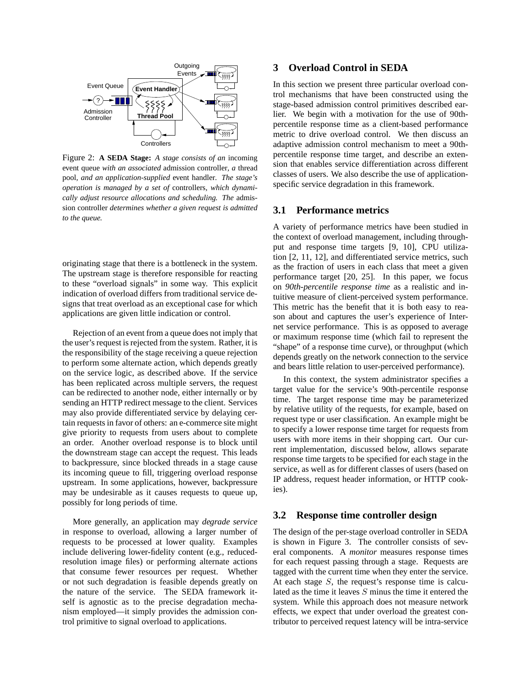

Figure 2: **A SEDA Stage:** *A stage consists of an* incoming event queue *with an associated* admission controller*, a* thread pool*, and an application-supplied* event handler*. The stage's operation is managed by a set of* controllers*, which dynamically adjust resource allocations and scheduling. The* admission controller *determines whether a given request is admitted to the queue.*

originating stage that there is a bottleneck in the system. The upstream stage is therefore responsible for reacting to these "overload signals" in some way. This explicit indication of overload differs from traditional service designs that treat overload as an exceptional case for which applications are given little indication or control.

Rejection of an event from a queue does not imply that the user's request is rejected from the system. Rather, it is the responsibility of the stage receiving a queue rejection to perform some alternate action, which depends greatly on the service logic, as described above. If the service has been replicated across multiple servers, the request can be redirected to another node, either internally or by sending an HTTP redirect message to the client. Services may also provide differentiated service by delaying certain requests in favor of others: an e-commerce site might give priority to requests from users about to complete an order. Another overload response is to block until the downstream stage can accept the request. This leads to backpressure, since blocked threads in a stage cause its incoming queue to fill, triggering overload response upstream. In some applications, however, backpressure may be undesirable as it causes requests to queue up, possibly for long periods of time.

More generally, an application may *degrade service* in response to overload, allowing a larger number of requests to be processed at lower quality. Examples include delivering lower-fidelity content (e.g., reducedresolution image files) or performing alternate actions that consume fewer resources per request. Whether or not such degradation is feasible depends greatly on the nature of the service. The SEDA framework itself is agnostic as to the precise degradation mechanism employed—it simply provides the admission control primitive to signal overload to applications.

# **3 Overload Control in SEDA**

In this section we present three particular overload control mechanisms that have been constructed using the stage-based admission control primitives described earlier. We begin with a motivation for the use of 90thpercentile response time as a client-based performance metric to drive overload control. We then discuss an adaptive admission control mechanism to meet a 90thpercentile response time target, and describe an extension that enables service differentiation across different classes of users. We also describe the use of applicationspecific service degradation in this framework.

#### **3.1 Performance metrics**

A variety of performance metrics have been studied in the context of overload management, including throughput and response time targets [9, 10], CPU utilization [2, 11, 12], and differentiated service metrics, such as the fraction of users in each class that meet a given performance target [20, 25]. In this paper, we focus on *90th-percentile response time* as a realistic and intuitive measure of client-perceived system performance. This metric has the benefit that it is both easy to reason about and captures the user's experience of Internet service performance. This is as opposed to average or maximum response time (which fail to represent the "shape" of a response time curve), or throughput (which depends greatly on the network connection to the service and bears little relation to user-perceived performance).

In this context, the system administrator specifies a target value for the service's 90th-percentile response time. The target response time may be parameterized by relative utility of the requests, for example, based on request type or user classification. An example might be to specify a lower response time target for requests from users with more items in their shopping cart. Our current implementation, discussed below, allows separate response time targets to be specified for each stage in the service, as well as for different classes of users (based on IP address, request header information, or HTTP cookies).

## **3.2 Response time controller design**

The design of the per-stage overload controller in SEDA is shown in Figure 3. The controller consists of several components. A *monitor* measures response times for each request passing through a stage. Requests are tagged with the current time when they enter the service. At each stage  $S$ , the request's response time is calculated as the time it leaves S minus the time it entered the system. While this approach does not measure network effects, we expect that under overload the greatest contributor to perceived request latency will be intra-service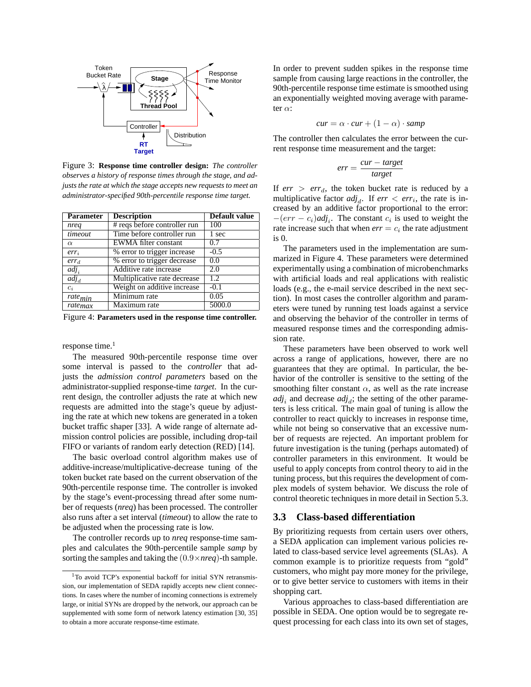

Figure 3: **Response time controller design:** *The controller observes a history of response times through the stage, and adjusts the rate at which the stage accepts new requests to meet an administrator-specified 90th-percentile response time target.*

| <b>Parameter</b> | <b>Description</b>               | Default value |  |
|------------------|----------------------------------|---------------|--|
| nreg             | # reqs before controller run     | 100           |  |
| timeout          | Time before controller run       | 1 sec         |  |
| $\alpha$         | EWMA filter constant             | 0.7           |  |
| $err_i$          | % error to trigger increase      | $-0.5$        |  |
| $err_d$          | % error to trigger decrease      | 0.0           |  |
| $adj_i$          | Additive rate increase           | 2.0           |  |
| adj <sub>d</sub> | Multiplicative rate decrease     | 1.2.          |  |
| $c_i$            | Weight on additive increase      | $-0.1$        |  |
| $rate_{min}$     | Minimum rate                     | 0.05          |  |
| ratemax          | $\overline{\text{Maximum}}$ rate | 5000.0        |  |

Figure 4: **Parameters used in the response time controller.**

response time. $1$ 

The measured 90th-percentile response time over some interval is passed to the *controller* that adjusts the *admission control parameters* based on the administrator-supplied response-time *target*. In the current design, the controller adjusts the rate at which new requests are admitted into the stage's queue by adjusting the rate at which new tokens are generated in a token bucket traffic shaper [33]. A wide range of alternate admission control policies are possible, including drop-tail FIFO or variants of random early detection (RED) [14].

The basic overload control algorithm makes use of additive-increase/multiplicative-decrease tuning of the token bucket rate based on the current observation of the 90th-percentile response time. The controller is invoked by the stage's event-processing thread after some number of requests (*nreq*) has been processed. The controller also runs after a set interval (*timeout*) to allow the rate to be adjusted when the processing rate is low.

The controller records up to *nreq* response-time samples and calculates the 90th-percentile sample *samp* by sorting the samples and taking the (0.9×*nreq*)-th sample. In order to prevent sudden spikes in the response time sample from causing large reactions in the controller, the 90th-percentile response time estimate is smoothed using an exponentially weighted moving average with parameter α:

$$
cur = \alpha \cdot cur + (1 - \alpha) \cdot samp
$$

The controller then calculates the error between the current response time measurement and the target:

$$
err = \frac{cur - target}{target}
$$

If  $err > err_d$ , the token bucket rate is reduced by a multiplicative factor  $adj<sub>d</sub>$ . If  $err < err<sub>i</sub>$ , the rate is increased by an additive factor proportional to the error:  $-(err - c_i)adj_i$ . The constant  $c_i$  is used to weight the rate increase such that when  $err = c_i$  the rate adjustment is 0.

The parameters used in the implementation are summarized in Figure 4. These parameters were determined experimentally using a combination of microbenchmarks with artificial loads and real applications with realistic loads (e.g., the e-mail service described in the next section). In most cases the controller algorithm and parameters were tuned by running test loads against a service and observing the behavior of the controller in terms of measured response times and the corresponding admission rate.

These parameters have been observed to work well across a range of applications, however, there are no guarantees that they are optimal. In particular, the behavior of the controller is sensitive to the setting of the smoothing filter constant  $\alpha$ , as well as the rate increase  $adj<sub>i</sub>$  and decrease  $adj<sub>d</sub>$ ; the setting of the other parameters is less critical. The main goal of tuning is allow the controller to react quickly to increases in response time, while not being so conservative that an excessive number of requests are rejected. An important problem for future investigation is the tuning (perhaps automated) of controller parameters in this environment. It would be useful to apply concepts from control theory to aid in the tuning process, but this requires the development of complex models of system behavior. We discuss the role of control theoretic techniques in more detail in Section 5.3.

#### **3.3 Class-based differentiation**

By prioritizing requests from certain users over others, a SEDA application can implement various policies related to class-based service level agreements (SLAs). A common example is to prioritize requests from "gold" customers, who might pay more money for the privilege, or to give better service to customers with items in their shopping cart.

Various approaches to class-based differentiation are possible in SEDA. One option would be to segregate request processing for each class into its own set of stages,

<sup>&</sup>lt;sup>1</sup>To avoid TCP's exponential backoff for initial SYN retransmission, our implementation of SEDA rapidly accepts new client connections. In cases where the number of incoming connections is extremely large, or initial SYNs are dropped by the network, our approach can be supplemented with some form of network latency estimation [30, 35] to obtain a more accurate response-time estimate.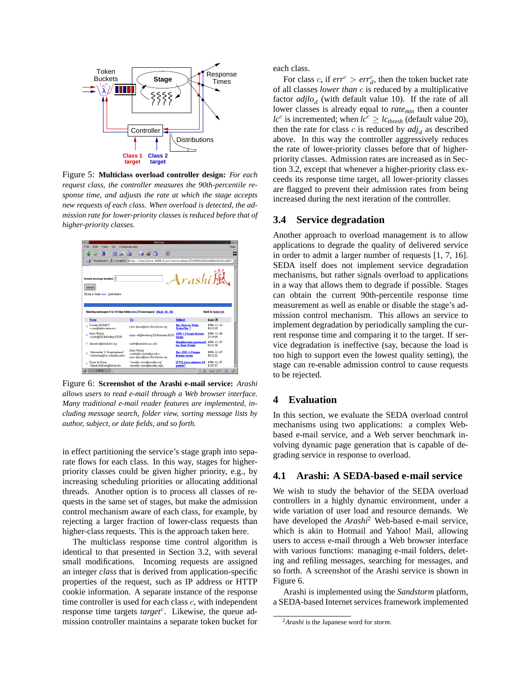

Figure 5: **Multiclass overload controller design:** *For each request class, the controller measures the 90th-percentile response time, and adjusts the rate at which the stage accepts new requests of each class. When overload is detected, the admission rate for lower-priority classes is reduced before that of higher-priority classes.*



Figure 6: **Screenshot of the Arashi e-mail service:** *Arashi allows users to read e-mail through a Web browser interface. Many traditional e-mail reader features are implemented, including message search, folder view, sorting message lists by author, subject, or date fields, and so forth.*

in effect partitioning the service's stage graph into separate flows for each class. In this way, stages for higherpriority classes could be given higher priority, e.g., by increasing scheduling priorities or allocating additional threads. Another option is to process all classes of requests in the same set of stages, but make the admission control mechanism aware of each class, for example, by rejecting a larger fraction of lower-class requests than higher-class requests. This is the approach taken here.

The multiclass response time control algorithm is identical to that presented in Section 3.2, with several small modifications. Incoming requests are assigned an integer *class* that is derived from application-specific properties of the request, such as IP address or HTTP cookie information. A separate instance of the response time controller is used for each class  $c$ , with independent response time targets *target<sup>c</sup>*. Likewise, the queue admission controller maintains a separate token bucket for each class.

For class *c*, if  $err^c > err_d^c$ , then the token bucket rate of all classes *lower than* c is reduced by a multiplicative factor  $\alpha$ *djlo<sub>d</sub>* (with default value 10). If the rate of all lower classes is already equal to *ratemin* then a counter *lc*<sup>c</sup> is incremented; when  $lc^c \geq lc_{thresh}$  (default value 20), then the rate for class  $c$  is reduced by  $adj<sub>d</sub>$  as described above. In this way the controller aggressively reduces the rate of lower-priority classes before that of higherpriority classes. Admission rates are increased as in Section 3.2, except that whenever a higher-priority class exceeds its response time target, all lower-priority classes are flagged to prevent their admission rates from being increased during the next iteration of the controller.

#### **3.4 Service degradation**

Another approach to overload management is to allow applications to degrade the quality of delivered service in order to admit a larger number of requests [1, 7, 16]. SEDA itself does not implement service degradation mechanisms, but rather signals overload to applications in a way that allows them to degrade if possible. Stages can obtain the current 90th-percentile response time measurement as well as enable or disable the stage's admission control mechanism. This allows an service to implement degradation by periodically sampling the current response time and comparing it to the target. If service degradation is ineffective (say, because the load is too high to support even the lowest quality setting), the stage can re-enable admission control to cause requests to be rejected.

# **4 Evaluation**

In this section, we evaluate the SEDA overload control mechanisms using two applications: a complex Webbased e-mail service, and a Web server benchmark involving dynamic page generation that is capable of degrading service in response to overload.

#### **4.1 Arashi: A SEDA-based e-mail service**

We wish to study the behavior of the SEDA overload controllers in a highly dynamic environment, under a wide variation of user load and resource demands. We have developed the *Arashi*<sup>2</sup> Web-based e-mail service, which is akin to Hotmail and Yahoo! Mail, allowing users to access e-mail through a Web browser interface with various functions: managing e-mail folders, deleting and refiling messages, searching for messages, and so forth. A screenshot of the Arashi service is shown in Figure 6.

Arashi is implemented using the *Sandstorm* platform, a SEDA-based Internet services framework implemented

<sup>2</sup>*Arashi* is the Japanese word for *storm*.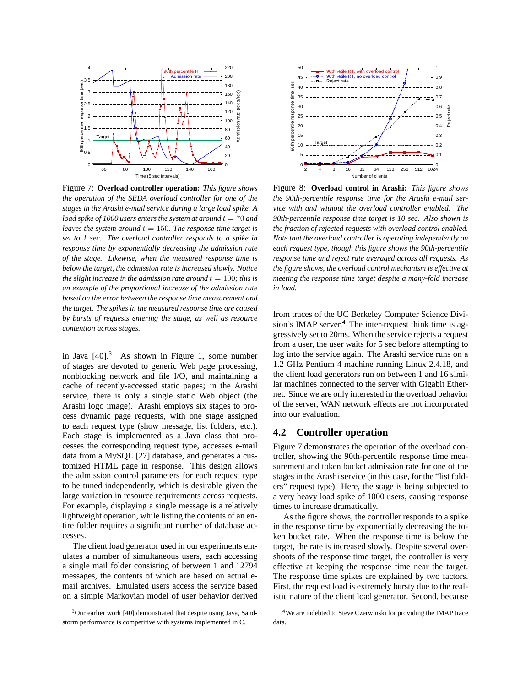

Figure 7: **Overload controller operation:** *This figure shows the operation of the SEDA overload controller for one of the stages in the Arashi e-mail service during a large load spike. A load spike of 1000 users enters the system at around*  $t = 70$  *and leaves the system around*  $t = 150$ *. The response time target is set to 1 sec. The overload controller responds to a spike in response time by exponentially decreasing the admission rate of the stage. Likewise, when the measured response time is below the target, the admission rate is increased slowly. Notice the slight increase in the admission rate around*  $t = 100$ *; this is an example of the proportional increase of the admission rate based on the error between the response time measurement and the target. The spikes in the measured response time are caused by bursts of requests entering the stage, as well as resource contention across stages.*

in Java  $[40]$ <sup>3</sup> As shown in Figure 1, some number of stages are devoted to generic Web page processing, nonblocking network and file I/O, and maintaining a cache of recently-accessed static pages; in the Arashi service, there is only a single static Web object (the Arashi logo image). Arashi employs six stages to process dynamic page requests, with one stage assigned to each request type (show message, list folders, etc.). Each stage is implemented as a Java class that processes the corresponding request type, accesses e-mail data from a MySQL [27] database, and generates a customized HTML page in response. This design allows the admission control parameters for each request type to be tuned independently, which is desirable given the large variation in resource requirements across requests. For example, displaying a single message is a relatively lightweight operation, while listing the contents of an entire folder requires a significant number of database accesses.

The client load generator used in our experiments emulates a number of simultaneous users, each accessing a single mail folder consisting of between 1 and 12794 messages, the contents of which are based on actual email archives. Emulated users access the service based on a simple Markovian model of user behavior derived



Figure 8: **Overload control in Arashi:** *This figure shows the 90th-percentile response time for the Arashi e-mail service with and without the overload controller enabled. The 90th-percentile response time target is 10 sec. Also shown is the fraction of rejected requests with overload control enabled. Note that the overload controller is operating independently on each request type, though this figure shows the 90th-percentile response time and reject rate averaged across all requests. As the figure shows, the overload control mechanism is effective at meeting the response time target despite a many-fold increase in load.*

from traces of the UC Berkeley Computer Science Division's IMAP server.<sup>4</sup> The inter-request think time is aggressively set to 20ms. When the service rejects a request from a user, the user waits for 5 sec before attempting to log into the service again. The Arashi service runs on a 1.2 GHz Pentium 4 machine running Linux 2.4.18, and the client load generators run on between 1 and 16 similar machines connected to the server with Gigabit Ethernet. Since we are only interested in the overload behavior of the server, WAN network effects are not incorporated into our evaluation.

#### **4.2 Controller operation**

Figure 7 demonstrates the operation of the overload controller, showing the 90th-percentile response time measurement and token bucket admission rate for one of the stages in the Arashi service (in this case, for the "list folders" request type). Here, the stage is being subjected to a very heavy load spike of 1000 users, causing response times to increase dramatically.

As the figure shows, the controller responds to a spike in the response time by exponentially decreasing the token bucket rate. When the response time is below the target, the rate is increased slowly. Despite several overshoots of the response time target, the controller is very effective at keeping the response time near the target. The response time spikes are explained by two factors. First, the request load is extremely bursty due to the realistic nature of the client load generator. Second, because

<sup>&</sup>lt;sup>3</sup>Our earlier work [40] demonstrated that despite using Java, Sandstorm performance is competitive with systems implemented in C.

<sup>4</sup>We are indebted to Steve Czerwinski for providing the IMAP trace data.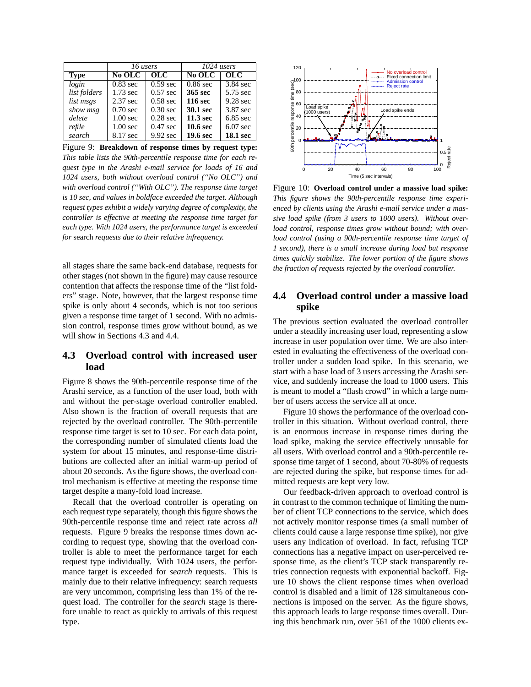|              | 16 users            |                   | 1024 users          |                  |
|--------------|---------------------|-------------------|---------------------|------------------|
| <b>Type</b>  | No OLC              | $_{\mathrm{OLC}}$ | No OLC              | $\overline{OLC}$ |
| login        | $0.83$ sec          | $0.59$ sec        | $0.86$ sec          | $3.84$ sec       |
| list folders | $1.73$ sec          | $0.57$ sec        | 365 sec             | 5.75 sec         |
| list msgs    | $2.37$ sec          | $0.58$ sec        | <b>116 sec</b>      | 9.28 sec         |
| show msg     | $0.70$ sec          | $0.30$ sec        | 30.1 sec            | 3.87 sec         |
| delete       | $1.00$ sec          | $0.28$ sec        | $11.3$ sec          | $6.85$ sec       |
| refile       | 1.00 <sub>sec</sub> | $0.47$ sec        | 10.6 <sub>sec</sub> | $6.07$ sec       |
| search       | 8.17 sec            | 9.92 sec          | 19.6 sec            | <b>18.1 sec</b>  |

Figure 9: **Breakdown of response times by request type:** *This table lists the 90th-percentile response time for each request type in the Arashi e-mail service for loads of 16 and 1024 users, both without overload control ("No OLC") and with overload control ("With OLC"). The response time target is 10 sec, and values in boldface exceeded the target. Although request types exhibit a widely varying degree of complexity, the controller is effective at meeting the response time target for each type. With 1024 users, the performance target is exceeded for* search *requests due to their relative infrequency.*

all stages share the same back-end database, requests for other stages (not shown in the figure) may cause resource contention that affects the response time of the "list folders" stage. Note, however, that the largest response time spike is only about 4 seconds, which is not too serious given a response time target of 1 second. With no admission control, response times grow without bound, as we will show in Sections 4.3 and 4.4.

# **4.3 Overload control with increased user load**

Figure 8 shows the 90th-percentile response time of the Arashi service, as a function of the user load, both with and without the per-stage overload controller enabled. Also shown is the fraction of overall requests that are rejected by the overload controller. The 90th-percentile response time target is set to 10 sec. For each data point, the corresponding number of simulated clients load the system for about 15 minutes, and response-time distributions are collected after an initial warm-up period of about 20 seconds. As the figure shows, the overload control mechanism is effective at meeting the response time target despite a many-fold load increase.

Recall that the overload controller is operating on each request type separately, though this figure shows the 90th-percentile response time and reject rate across *all* requests. Figure 9 breaks the response times down according to request type, showing that the overload controller is able to meet the performance target for each request type individually. With 1024 users, the performance target is exceeded for *search* requests. This is mainly due to their relative infrequency: search requests are very uncommon, comprising less than 1% of the request load. The controller for the *search* stage is therefore unable to react as quickly to arrivals of this request type.



Figure 10: **Overload control under a massive load spike:** *This figure shows the 90th-percentile response time experienced by clients using the Arashi e-mail service under a massive load spike (from 3 users to 1000 users). Without overload control, response times grow without bound; with overload control (using a 90th-percentile response time target of 1 second), there is a small increase during load but response times quickly stabilize. The lower portion of the figure shows the fraction of requests rejected by the overload controller.*

# **4.4 Overload control under a massive load spike**

The previous section evaluated the overload controller under a steadily increasing user load, representing a slow increase in user population over time. We are also interested in evaluating the effectiveness of the overload controller under a sudden load spike. In this scenario, we start with a base load of 3 users accessing the Arashi service, and suddenly increase the load to 1000 users. This is meant to model a "flash crowd" in which a large number of users access the service all at once.

Figure 10 shows the performance of the overload controller in this situation. Without overload control, there is an enormous increase in response times during the load spike, making the service effectively unusable for all users. With overload control and a 90th-percentile response time target of 1 second, about 70-80% of requests are rejected during the spike, but response times for admitted requests are kept very low.

Our feedback-driven approach to overload control is in contrast to the common technique of limiting the number of client TCP connections to the service, which does not actively monitor response times (a small number of clients could cause a large response time spike), nor give users any indication of overload. In fact, refusing TCP connections has a negative impact on user-perceived response time, as the client's TCP stack transparently retries connection requests with exponential backoff. Figure 10 shows the client response times when overload control is disabled and a limit of 128 simultaneous connections is imposed on the server. As the figure shows, this approach leads to large response times overall. During this benchmark run, over 561 of the 1000 clients ex-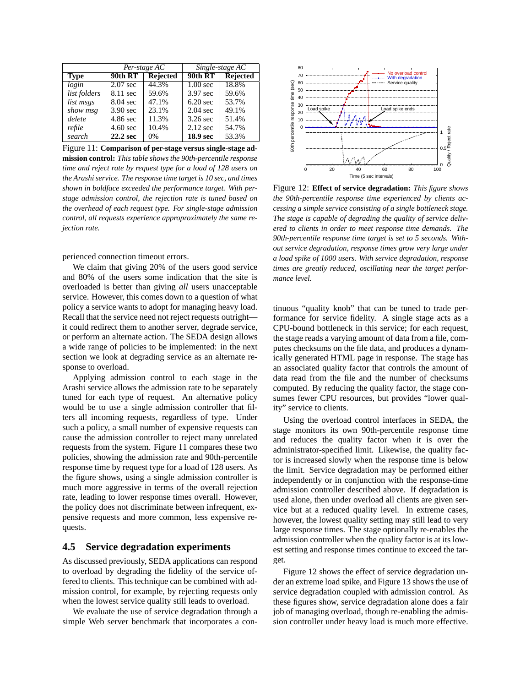|              | Per-stage AC       |                 | Single-stage AC |                 |
|--------------|--------------------|-----------------|-----------------|-----------------|
| <b>Type</b>  | 90th RT            | <b>Rejected</b> | 90th RT         | <b>Rejected</b> |
| login        | $2.07$ sec         | 44.3%           | $1.00$ sec      | 18.8%           |
| list folders | 8.11 sec           | 59.6%           | 3.97 sec        | 59.6%           |
| list msgs    | $8.04 \text{ sec}$ | 47.1%           | $6.20$ sec      | 53.7%           |
| show msg     | $3.90$ sec         | 23.1%           | $2.04$ sec      | 49.1%           |
| delete       | 4.86 sec           | 11.3%           | $3.26$ sec      | 51.4%           |
| refile       | $4.60 \text{ sec}$ | 10.4%           | $2.12$ sec      | 54.7%           |
| search       | 22.2 sec           | 0%              | 18.9 sec        | 53.3%           |

Figure 11: **Comparison of per-stage versus single-stage ad-**

**mission control:** *This table shows the 90th-percentile response time and reject rate by request type for a load of 128 users on the Arashi service. The response time target is 10 sec, and times shown in boldface exceeded the performance target. With perstage admission control, the rejection rate is tuned based on the overhead of each request type. For single-stage admission control, all requests experience approproximately the same rejection rate.*

perienced connection timeout errors.

We claim that giving 20% of the users good service and 80% of the users some indication that the site is overloaded is better than giving *all* users unacceptable service. However, this comes down to a question of what policy a service wants to adopt for managing heavy load. Recall that the service need not reject requests outright it could redirect them to another server, degrade service, or perform an alternate action. The SEDA design allows a wide range of policies to be implemented: in the next section we look at degrading service as an alternate response to overload.

Applying admission control to each stage in the Arashi service allows the admission rate to be separately tuned for each type of request. An alternative policy would be to use a single admission controller that filters all incoming requests, regardless of type. Under such a policy, a small number of expensive requests can cause the admission controller to reject many unrelated requests from the system. Figure 11 compares these two policies, showing the admission rate and 90th-percentile response time by request type for a load of 128 users. As the figure shows, using a single admission controller is much more aggressive in terms of the overall rejection rate, leading to lower response times overall. However, the policy does not discriminate between infrequent, expensive requests and more common, less expensive requests.

# **4.5 Service degradation experiments**

As discussed previously, SEDA applications can respond to overload by degrading the fidelity of the service offered to clients. This technique can be combined with admission control, for example, by rejecting requests only when the lowest service quality still leads to overload.

We evaluate the use of service degradation through a simple Web server benchmark that incorporates a con-



Figure 12: **Effect of service degradation:** *This figure shows the 90th-percentile response time experienced by clients accessing a simple service consisting of a single bottleneck stage. The stage is capable of degrading the quality of service delivered to clients in order to meet response time demands. The 90th-percentile response time target is set to 5 seconds. Without service degradation, response times grow very large under a load spike of 1000 users. With service degradation, response times are greatly reduced, oscillating near the target performance level.*

tinuous "quality knob" that can be tuned to trade performance for service fidelity. A single stage acts as a CPU-bound bottleneck in this service; for each request, the stage reads a varying amount of data from a file, computes checksums on the file data, and produces a dynamically generated HTML page in response. The stage has an associated quality factor that controls the amount of data read from the file and the number of checksums computed. By reducing the quality factor, the stage consumes fewer CPU resources, but provides "lower quality" service to clients.

Using the overload control interfaces in SEDA, the stage monitors its own 90th-percentile response time and reduces the quality factor when it is over the administrator-specified limit. Likewise, the quality factor is increased slowly when the response time is below the limit. Service degradation may be performed either independently or in conjunction with the response-time admission controller described above. If degradation is used alone, then under overload all clients are given service but at a reduced quality level. In extreme cases, however, the lowest quality setting may still lead to very large response times. The stage optionally re-enables the admission controller when the quality factor is at its lowest setting and response times continue to exceed the target.

Figure 12 shows the effect of service degradation under an extreme load spike, and Figure 13 shows the use of service degradation coupled with admission control. As these figures show, service degradation alone does a fair job of managing overload, though re-enabling the admission controller under heavy load is much more effective.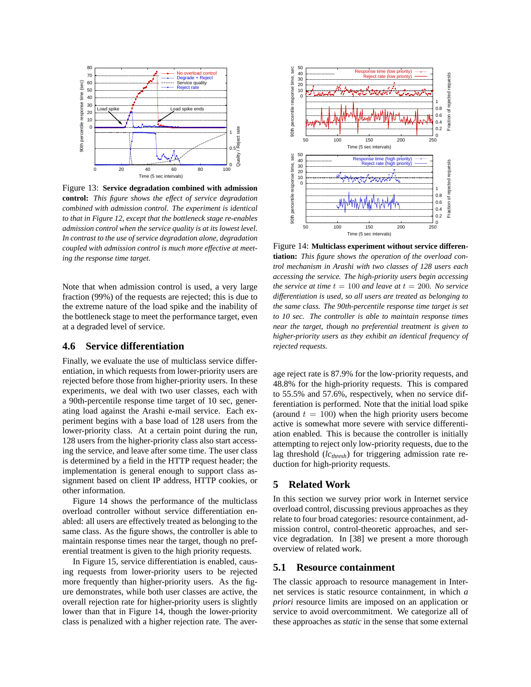

Figure 13: **Service degradation combined with admission control:** *This figure shows the effect of service degradation combined with admission control. The experiment is identical to that in Figure 12, except that the bottleneck stage re-enables admission control when the service quality is at its lowest level. In contrast to the use of service degradation alone, degradation coupled with admission control is much more effective at meeting the response time target.*

Note that when admission control is used, a very large fraction (99%) of the requests are rejected; this is due to the extreme nature of the load spike and the inability of the bottleneck stage to meet the performance target, even at a degraded level of service.

#### **4.6 Service differentiation**

Finally, we evaluate the use of multiclass service differentiation, in which requests from lower-priority users are rejected before those from higher-priority users. In these experiments, we deal with two user classes, each with a 90th-percentile response time target of 10 sec, generating load against the Arashi e-mail service. Each experiment begins with a base load of 128 users from the lower-priority class. At a certain point during the run, 128 users from the higher-priority class also start accessing the service, and leave after some time. The user class is determined by a field in the HTTP request header; the implementation is general enough to support class assignment based on client IP address, HTTP cookies, or other information.

Figure 14 shows the performance of the multiclass overload controller without service differentiation enabled: all users are effectively treated as belonging to the same class. As the figure shows, the controller is able to maintain response times near the target, though no preferential treatment is given to the high priority requests.

In Figure 15, service differentiation is enabled, causing requests from lower-priority users to be rejected more frequently than higher-priority users. As the figure demonstrates, while both user classes are active, the overall rejection rate for higher-priority users is slightly lower than that in Figure 14, though the lower-priority class is penalized with a higher rejection rate. The aver-



Figure 14: **Multiclass experiment without service differentiation:** *This figure shows the operation of the overload control mechanism in Arashi with two classes of 128 users each accessing the service. The high-priority users begin accessing the service at time*  $t = 100$  *and leave at*  $t = 200$ *. No service differentiation is used, so all users are treated as belonging to the same class. The 90th-percentile response time target is set to 10 sec. The controller is able to maintain response times near the target, though no preferential treatment is given to higher-priority users as they exhibit an identical frequency of rejected requests.*

age reject rate is 87.9% for the low-priority requests, and 48.8% for the high-priority requests. This is compared to 55.5% and 57.6%, respectively, when no service differentiation is performed. Note that the initial load spike (around  $t = 100$ ) when the high priority users become active is somewhat more severe with service differentiation enabled. This is because the controller is initially attempting to reject only low-priority requests, due to the lag threshold (*lcthresh*) for triggering admission rate reduction for high-priority requests.

# **5 Related Work**

In this section we survey prior work in Internet service overload control, discussing previous approaches as they relate to four broad categories: resource containment, admission control, control-theoretic approaches, and service degradation. In [38] we present a more thorough overview of related work.

#### **5.1 Resource containment**

The classic approach to resource management in Internet services is static resource containment, in which *a priori* resource limits are imposed on an application or service to avoid overcommitment. We categorize all of these approaches as *static* in the sense that some external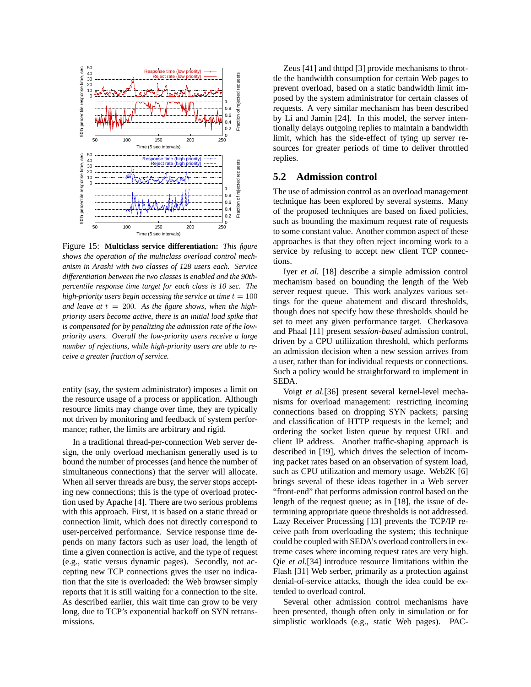

Figure 15: **Multiclass service differentiation:** *This figure shows the operation of the multiclass overload control mechanism in Arashi with two classes of 128 users each. Service differentiation between the two classes is enabled and the 90thpercentile response time target for each class is 10 sec. The high-priority users begin accessing the service at time*  $t = 100$ and leave at  $t = 200$ . As the figure shows, when the high*priority users become active, there is an initial load spike that is compensated for by penalizing the admission rate of the lowpriority users. Overall the low-priority users receive a large number of rejections, while high-priority users are able to receive a greater fraction of service.*

entity (say, the system administrator) imposes a limit on the resource usage of a process or application. Although resource limits may change over time, they are typically not driven by monitoring and feedback of system performance; rather, the limits are arbitrary and rigid.

In a traditional thread-per-connection Web server design, the only overload mechanism generally used is to bound the number of processes (and hence the number of simultaneous connections) that the server will allocate. When all server threads are busy, the server stops accepting new connections; this is the type of overload protection used by Apache [4]. There are two serious problems with this approach. First, it is based on a static thread or connection limit, which does not directly correspond to user-perceived performance. Service response time depends on many factors such as user load, the length of time a given connection is active, and the type of request (e.g., static versus dynamic pages). Secondly, not accepting new TCP connections gives the user no indication that the site is overloaded: the Web browser simply reports that it is still waiting for a connection to the site. As described earlier, this wait time can grow to be very long, due to TCP's exponential backoff on SYN retransmissions.

Zeus [41] and thttpd [3] provide mechanisms to throttle the bandwidth consumption for certain Web pages to prevent overload, based on a static bandwidth limit imposed by the system administrator for certain classes of requests. A very similar mechanism has been described by Li and Jamin [24]. In this model, the server intentionally delays outgoing replies to maintain a bandwidth limit, which has the side-effect of tying up server resources for greater periods of time to deliver throttled replies.

# **5.2 Admission control**

The use of admission control as an overload management technique has been explored by several systems. Many of the proposed techniques are based on fixed policies, such as bounding the maximum request rate of requests to some constant value. Another common aspect of these approaches is that they often reject incoming work to a service by refusing to accept new client TCP connections.

Iyer *et al.* [18] describe a simple admission control mechanism based on bounding the length of the Web server request queue. This work analyzes various settings for the queue abatement and discard thresholds, though does not specify how these thresholds should be set to meet any given performance target. Cherkasova and Phaal [11] present *session-based* admission control, driven by a CPU utiliization threshold, which performs an admission decision when a new session arrives from a user, rather than for individual requests or connections. Such a policy would be straightforward to implement in SEDA.

Voigt *et al.*[36] present several kernel-level mechanisms for overload management: restricting incoming connections based on dropping SYN packets; parsing and classification of HTTP requests in the kernel; and ordering the socket listen queue by request URL and client IP address. Another traffic-shaping approach is described in [19], which drives the selection of incoming packet rates based on an observation of system load, such as CPU utilization and memory usage. Web2K [6] brings several of these ideas together in a Web server "front-end" that performs admission control based on the length of the request queue; as in [18], the issue of determining appropriate queue thresholds is not addressed. Lazy Receiver Processing [13] prevents the TCP/IP receive path from overloading the system; this technique could be coupled with SEDA's overload controllers in extreme cases where incoming request rates are very high. Qie *et al.*[34] introduce resource limitations within the Flash [31] Web serber, primarily as a protection against denial-of-service attacks, though the idea could be extended to overload control.

Several other admission control mechanisms have been presented, though often only in simulation or for simplistic workloads (e.g., static Web pages). PAC-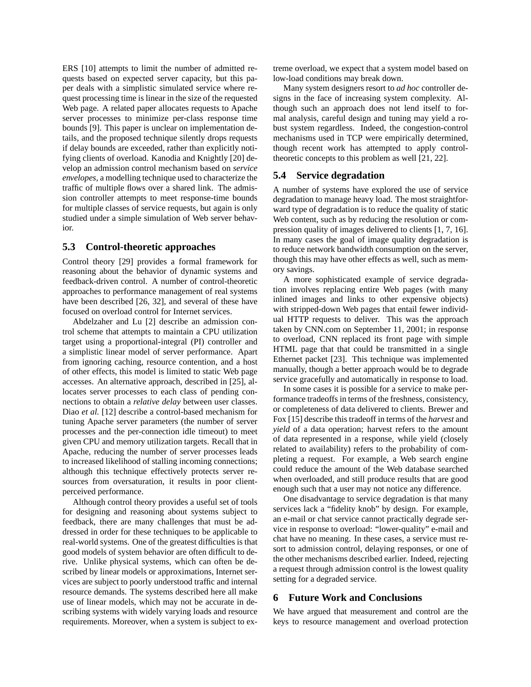ERS [10] attempts to limit the number of admitted requests based on expected server capacity, but this paper deals with a simplistic simulated service where request processing time is linear in the size of the requested Web page. A related paper allocates requests to Apache server processes to minimize per-class response time bounds [9]. This paper is unclear on implementation details, and the proposed technique silently drops requests if delay bounds are exceeded, rather than explicitly notifying clients of overload. Kanodia and Knightly [20] develop an admission control mechanism based on *service envelopes*, a modelling technique used to characterize the traffic of multiple flows over a shared link. The admission controller attempts to meet response-time bounds for multiple classes of service requests, but again is only studied under a simple simulation of Web server behavior.

#### **5.3 Control-theoretic approaches**

Control theory [29] provides a formal framework for reasoning about the behavior of dynamic systems and feedback-driven control. A number of control-theoretic approaches to performance management of real systems have been described [26, 32], and several of these have focused on overload control for Internet services.

Abdelzaher and Lu [2] describe an admission control scheme that attempts to maintain a CPU utilization target using a proportional-integral (PI) controller and a simplistic linear model of server performance. Apart from ignoring caching, resource contention, and a host of other effects, this model is limited to static Web page accesses. An alternative approach, described in [25], allocates server processes to each class of pending connections to obtain a *relative delay* between user classes. Diao *et al.* [12] describe a control-based mechanism for tuning Apache server parameters (the number of server processes and the per-connection idle timeout) to meet given CPU and memory utilization targets. Recall that in Apache, reducing the number of server processes leads to increased likelihood of stalling incoming connections; although this technique effectively protects server resources from oversaturation, it results in poor clientperceived performance.

Although control theory provides a useful set of tools for designing and reasoning about systems subject to feedback, there are many challenges that must be addressed in order for these techniques to be applicable to real-world systems. One of the greatest difficulties is that good models of system behavior are often difficult to derive. Unlike physical systems, which can often be described by linear models or approximations, Internet services are subject to poorly understood traffic and internal resource demands. The systems described here all make use of linear models, which may not be accurate in describing systems with widely varying loads and resource requirements. Moreover, when a system is subject to extreme overload, we expect that a system model based on low-load conditions may break down.

Many system designers resort to *ad hoc* controller designs in the face of increasing system complexity. Although such an approach does not lend itself to formal analysis, careful design and tuning may yield a robust system regardless. Indeed, the congestion-control mechanisms used in TCP were empirically determined, though recent work has attempted to apply controltheoretic concepts to this problem as well [21, 22].

#### **5.4 Service degradation**

A number of systems have explored the use of service degradation to manage heavy load. The most straightforward type of degradation is to reduce the quality of static Web content, such as by reducing the resolution or compression quality of images delivered to clients [1, 7, 16]. In many cases the goal of image quality degradation is to reduce network bandwidth consumption on the server, though this may have other effects as well, such as memory savings.

A more sophisticated example of service degradation involves replacing entire Web pages (with many inlined images and links to other expensive objects) with stripped-down Web pages that entail fewer individual HTTP requests to deliver. This was the approach taken by CNN.com on September 11, 2001; in response to overload, CNN replaced its front page with simple HTML page that that could be transmitted in a single Ethernet packet [23]. This technique was implemented manually, though a better approach would be to degrade service gracefully and automatically in response to load.

In some cases it is possible for a service to make performance tradeoffs in terms of the freshness, consistency, or completeness of data delivered to clients. Brewer and Fox [15] describe this tradeoff in terms of the *harvest* and *yield* of a data operation; harvest refers to the amount of data represented in a response, while yield (closely related to availability) refers to the probability of completing a request. For example, a Web search engine could reduce the amount of the Web database searched when overloaded, and still produce results that are good enough such that a user may not notice any difference.

One disadvantage to service degradation is that many services lack a "fidelity knob" by design. For example, an e-mail or chat service cannot practically degrade service in response to overload: "lower-quality" e-mail and chat have no meaning. In these cases, a service must resort to admission control, delaying responses, or one of the other mechanisms described earlier. Indeed, rejecting a request through admission control is the lowest quality setting for a degraded service.

#### **6 Future Work and Conclusions**

We have argued that measurement and control are the keys to resource management and overload protection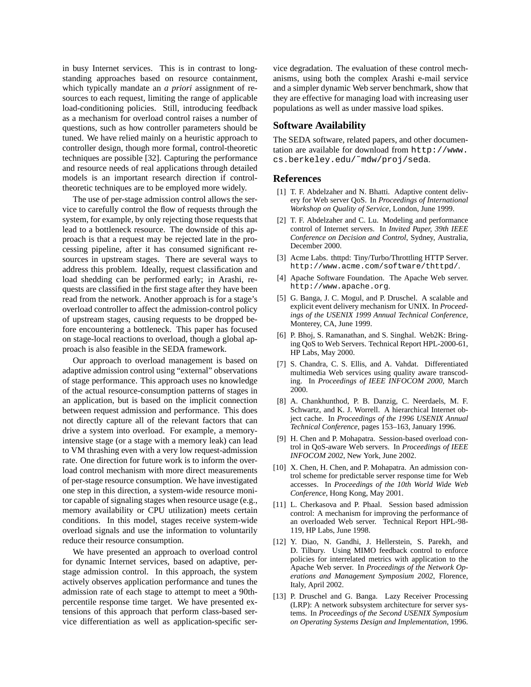in busy Internet services. This is in contrast to longstanding approaches based on resource containment, which typically mandate an *a priori* assignment of resources to each request, limiting the range of applicable load-conditioning policies. Still, introducing feedback as a mechanism for overload control raises a number of questions, such as how controller parameters should be tuned. We have relied mainly on a heuristic approach to controller design, though more formal, control-theoretic techniques are possible [32]. Capturing the performance and resource needs of real applications through detailed models is an important research direction if controltheoretic techniques are to be employed more widely.

The use of per-stage admission control allows the service to carefully control the flow of requests through the system, for example, by only rejecting those requests that lead to a bottleneck resource. The downside of this approach is that a request may be rejected late in the processing pipeline, after it has consumed significant resources in upstream stages. There are several ways to address this problem. Ideally, request classification and load shedding can be performed early; in Arashi, requests are classified in the first stage after they have been read from the network. Another approach is for a stage's overload controller to affect the admission-control policy of upstream stages, causing requests to be dropped before encountering a bottleneck. This paper has focused on stage-local reactions to overload, though a global approach is also feasible in the SEDA framework.

Our approach to overload management is based on adaptive admission control using "external" observations of stage performance. This approach uses no knowledge of the actual resource-consumption patterns of stages in an application, but is based on the implicit connection between request admission and performance. This does not directly capture all of the relevant factors that can drive a system into overload. For example, a memoryintensive stage (or a stage with a memory leak) can lead to VM thrashing even with a very low request-admission rate. One direction for future work is to inform the overload control mechanism with more direct measurements of per-stage resource consumption. We have investigated one step in this direction, a system-wide resource monitor capable of signaling stages when resource usage (e.g., memory availability or CPU utilization) meets certain conditions. In this model, stages receive system-wide overload signals and use the information to voluntarily reduce their resource consumption.

We have presented an approach to overload control for dynamic Internet services, based on adaptive, perstage admission control. In this approach, the system actively observes application performance and tunes the admission rate of each stage to attempt to meet a 90thpercentile response time target. We have presented extensions of this approach that perform class-based service differentiation as well as application-specific service degradation. The evaluation of these control mechanisms, using both the complex Arashi e-mail service and a simpler dynamic Web server benchmark, show that they are effective for managing load with increasing user populations as well as under massive load spikes.

# **Software Availability**

The SEDA software, related papers, and other documentation are available for download from http://www. cs.berkeley.edu/˜mdw/proj/seda.

#### **References**

- [1] T. F. Abdelzaher and N. Bhatti. Adaptive content delivery for Web server QoS. In *Proceedings of International Workshop on Quality of Service*, London, June 1999.
- [2] T. F. Abdelzaher and C. Lu. Modeling and performance control of Internet servers. In *Invited Paper, 39th IEEE Conference on Decision and Control*, Sydney, Australia, December 2000.
- [3] Acme Labs. thttpd: Tiny/Turbo/Throttling HTTP Server. http://www.acme.com/software/thttpd/.
- [4] Apache Software Foundation. The Apache Web server. http://www.apache.org.
- [5] G. Banga, J. C. Mogul, and P. Druschel. A scalable and explicit event delivery mechanism for UNIX. In *Proceedings of the USENIX 1999 Annual Technical Conference*, Monterey, CA, June 1999.
- [6] P. Bhoj, S. Ramanathan, and S. Singhal. Web2K: Bringing QoS to Web Servers. Technical Report HPL-2000-61, HP Labs, May 2000.
- [7] S. Chandra, C. S. Ellis, and A. Vahdat. Differentiated multimedia Web services using quality aware transcoding. In *Proceedings of IEEE INFOCOM 2000*, March 2000.
- [8] A. Chankhunthod, P. B. Danzig, C. Neerdaels, M. F. Schwartz, and K. J. Worrell. A hierarchical Internet object cache. In *Proceedings of the 1996 USENIX Annual Technical Conference*, pages 153–163, January 1996.
- [9] H. Chen and P. Mohapatra. Session-based overload control in QoS-aware Web servers. In *Proceedings of IEEE INFOCOM 2002*, New York, June 2002.
- [10] X. Chen, H. Chen, and P. Mohapatra. An admission control scheme for predictable server response time for Web accesses. In *Proceedings of the 10th World Wide Web Conference*, Hong Kong, May 2001.
- [11] L. Cherkasova and P. Phaal. Session based admission control: A mechanism for improving the performance of an overloaded Web server. Technical Report HPL-98- 119, HP Labs, June 1998.
- [12] Y. Diao, N. Gandhi, J. Hellerstein, S. Parekh, and D. Tilbury. Using MIMO feedback control to enforce policies for interrelated metrics with application to the Apache Web server. In *Proceedings of the Network Operations and Management Symposium 2002*, Florence, Italy, April 2002.
- [13] P. Druschel and G. Banga. Lazy Receiver Processing (LRP): A network subsystem architecture for server systems. In *Proceedings of the Second USENIX Symposium on Operating Systems Design and Implementation*, 1996.